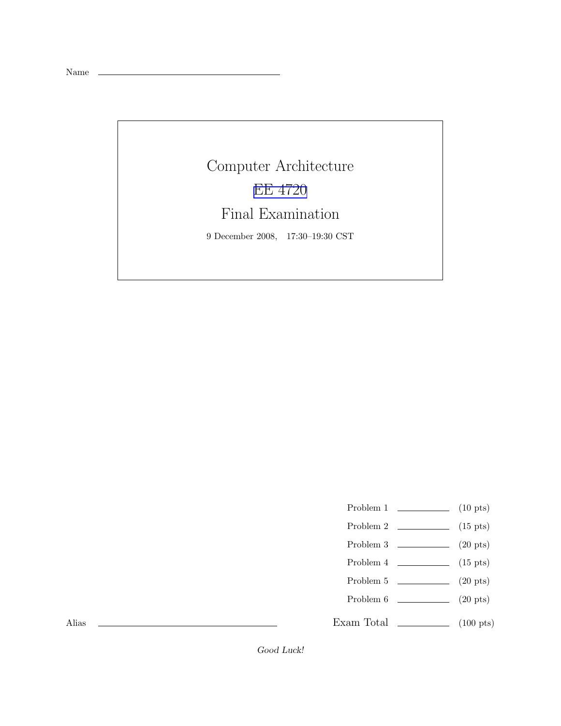Name

## Computer Architecture [EE 4720](http://www.ece.lsu.edu/ee4720/) Final Examination 9 December 2008, 17:30–19:30 CST

- Problem 1  $\qquad \qquad$  (10 pts)
- Problem 2 (15 pts)
- Problem  $3 \t\t(20 \text{ pts})$
- Problem 4  $\qquad \qquad$  (15 pts)
- Problem 5  $\qquad \qquad$  (20 pts)
- Problem 6 (20 pts)
- Exam Total \_\_\_\_\_\_\_\_\_\_\_\_\_ (100 pts)

Alias

Good Luck!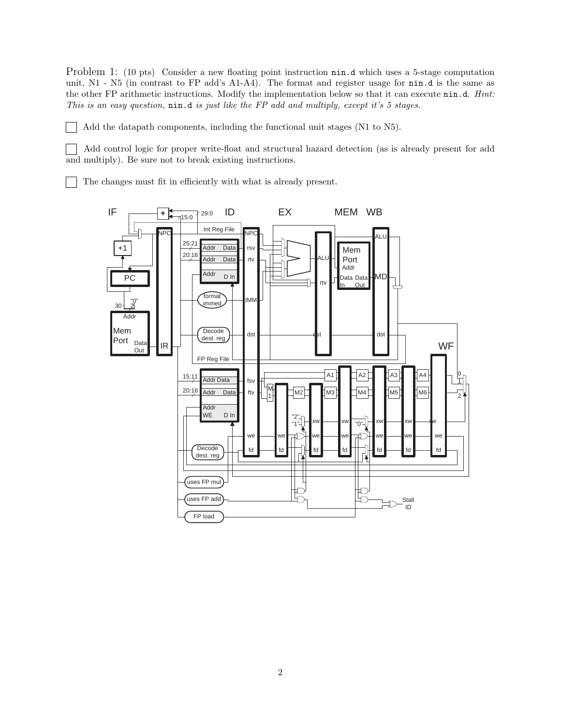Problem 1: (10 pts) Consider a new floating point instruction  $\min d$  which uses a 5-stage computation unit, N1 - N5 (in contrast to FP add's A1-A4). The format and register usage for nin.d is the same as the other FP arithmetic instructions. Modify the implementation below so that it can execute nin.d. *Hint*: This is an easy question, nin.d is just like the FP add and multiply, except it's 5 stages.

Add the datapath components, including the functional unit stages (N1 to N5).

Add control logic for proper write-float and structural hazard detection (as is already present for add  $\mathbf{I}$ and multiply). Be sure not to break existing instructions.

The changes must fit in efficiently with what is already present.

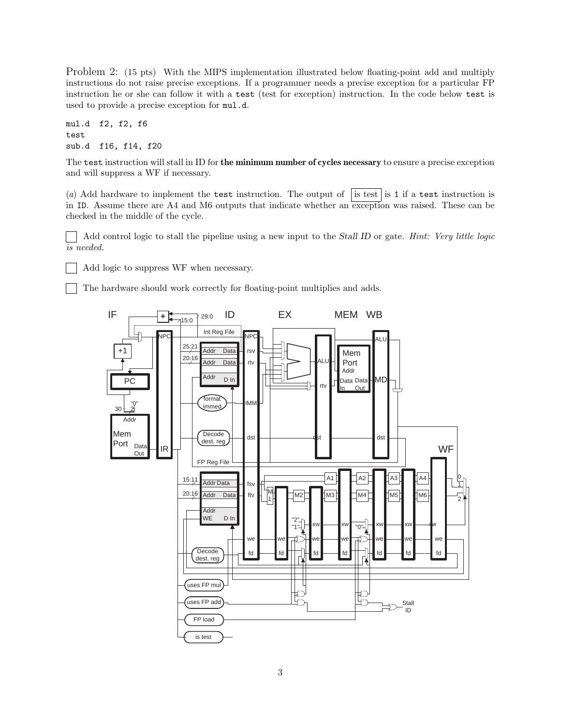Problem 2: (15 pts) With the MIPS implementation illustrated below floating-point add and multiply instructions do not raise precise exceptions. If a programmer needs a precise exception for a particular FP instruction he or she can follow it with a test (test for exception) instruction. In the code below test is used to provide a precise exception for mul.d.

mul.d f2, f2, f6 test sub.d f16, f14, f20

 $\blacksquare$ 

The test instruction will stall in ID for the minimum number of cycles necessary to ensure a precise exception and will suppress a WF if necessary.

(a) Add hardware to implement the test instruction. The output of is test is 1 if a test instruction is in ID. Assume there are  $A4$  and M6 outputs that indicate whether an exception was raised. These can be checked in the middle of the cycle.

Add control logic to stall the pipeline using a new input to the Stall ID or gate. Hint: Very little logic is needed.

Add logic to suppress WF when necessary.

The hardware should work correctly for floating-point multiplies and adds.

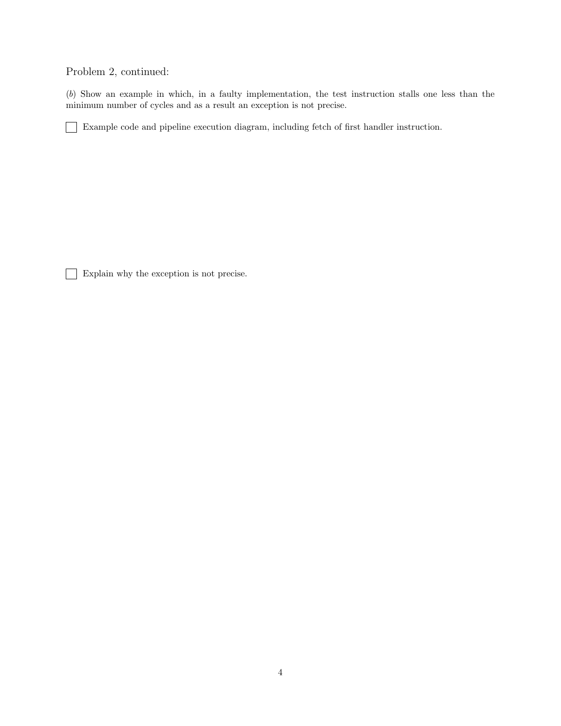Problem 2, continued:

(b) Show an example in which, in a faulty implementation, the test instruction stalls one less than the minimum number of cycles and as a result an exception is not precise.

Example code and pipeline execution diagram, including fetch of first handler instruction.

Explain why the exception is not precise.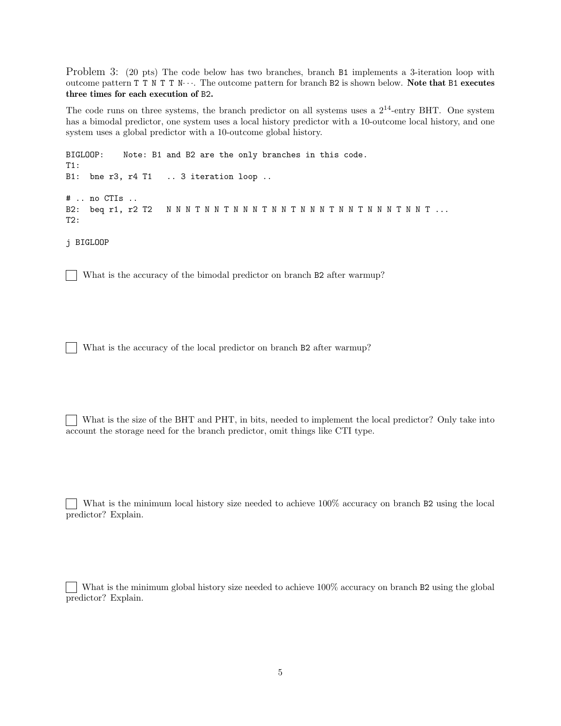Problem 3: (20 pts) The code below has two branches, branch B1 implements a 3-iteration loop with outcome pattern T T N T T N· · ·. The outcome pattern for branch B2 is shown below. Note that B1 executes three times for each execution of B2.

The code runs on three systems, the branch predictor on all systems uses a  $2^{14}$ -entry BHT. One system has a bimodal predictor, one system uses a local history predictor with a 10-outcome local history, and one system uses a global predictor with a 10-outcome global history.

BIGLOOP: Note: B1 and B2 are the only branches in this code. T1: B1: bne r3, r4 T1 .. 3 iteration loop .. # .. no CTIs .. B2: beq r1, r2 T2 N N N T N N T N N N T N N T N N N T N N T N N N T N N T ... T2:

j BIGLOOP

What is the accuracy of the bimodal predictor on branch B2 after warmup?

What is the accuracy of the local predictor on branch B2 after warmup?  $\Box$ 

What is the size of the BHT and PHT, in bits, needed to implement the local predictor? Only take into account the storage need for the branch predictor, omit things like CTI type.

What is the minimum local history size needed to achieve 100% accuracy on branch B2 using the local predictor? Explain.

What is the minimum global history size needed to achieve 100% accuracy on branch B2 using the global predictor? Explain.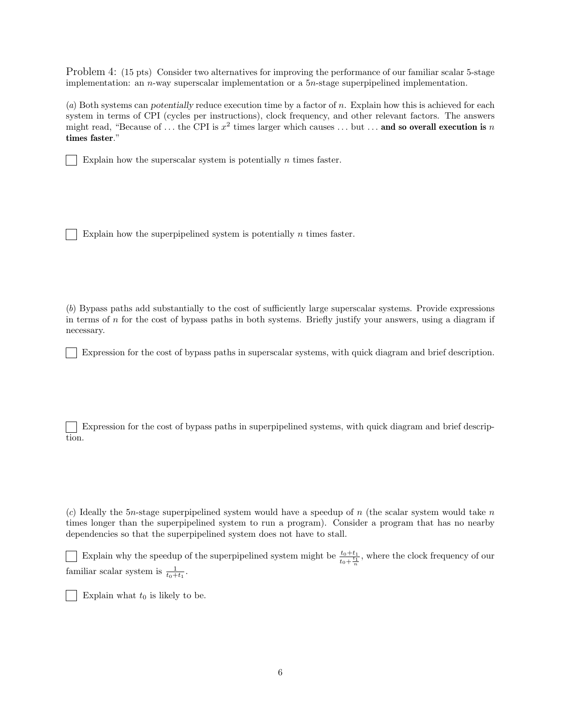Problem 4: (15 pts) Consider two alternatives for improving the performance of our familiar scalar 5-stage implementation: an n-way superscalar implementation or a 5n-stage superpipelined implementation.

(a) Both systems can potentially reduce execution time by a factor of n. Explain how this is achieved for each system in terms of CPI (cycles per instructions), clock frequency, and other relevant factors. The answers might read, "Because of ... the CPI is  $x^2$  times larger which causes ... but ... and so overall execution is n times faster."

Explain how the superscalar system is potentially  $n$  times faster.

Explain how the superpipelined system is potentially  $n$  times faster.

(b) Bypass paths add substantially to the cost of sufficiently large superscalar systems. Provide expressions in terms of n for the cost of bypass paths in both systems. Briefly justify your answers, using a diagram if necessary.

Expression for the cost of bypass paths in superscalar systems, with quick diagram and brief description.

Expression for the cost of bypass paths in superpipelined systems, with quick diagram and brief description.

(c) Ideally the 5n-stage superpipelined system would have a speedup of n (the scalar system would take n times longer than the superpipelined system to run a program). Consider a program that has no nearby dependencies so that the superpipelined system does not have to stall.

Explain why the speedup of the superpipelined system might be  $\frac{t_0+t_1}{t_0+\frac{t_1}{n}}$ , where the clock frequency of our familiar scalar system is  $\frac{1}{t_0+t_1}$ .

Explain what  $t_0$  is likely to be.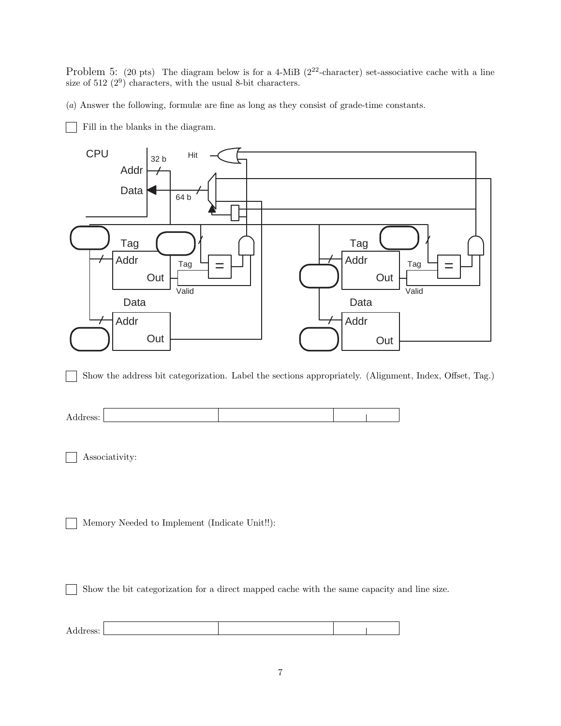Problem 5: (20 pts) The diagram below is for a 4-MiB ( $2^{22}$ -character) set-associative cache with a line size of  $512 (2^9)$  characters, with the usual 8-bit characters.

(a) Answer the following, formulæ are fine as long as they consist of grade-time constants.

Fill in the blanks in the diagram.



Show the address bit categorization. Label the sections appropriately. (Alignment, Index, Offset, Tag.) - 1

Associativity:

Memory Needed to Implement (Indicate Unit!!):

Show the bit categorization for a direct mapped cache with the same capacity and line size.  $\blacksquare$ 

| л<br>$\overline{\phantom{a}}$<br>Auurcoo. |  |  |
|-------------------------------------------|--|--|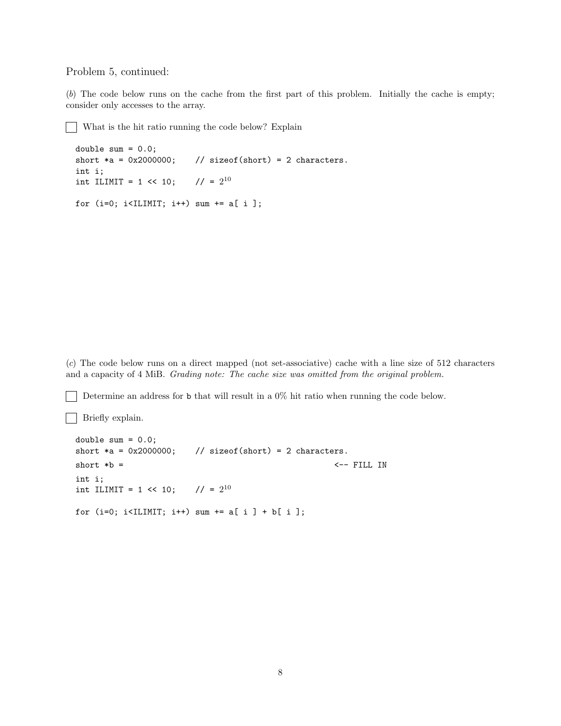Problem 5, continued:

(b) The code below runs on the cache from the first part of this problem. Initially the cache is empty; consider only accesses to the array.

What is the hit ratio running the code below? Explain

```
double sum = 0.0;
short *a = 0x2000000; // sizeof(short) = 2 characters.
int i;
int ILIMIT = 1 \le 10;
                        1/ = 2^{10}for (i=0; i<IILMIT; i++) sum += a[i];
```
(c) The code below runs on a direct mapped (not set-associative) cache with a line size of 512 characters and a capacity of 4 MiB. Grading note: The cache size was omitted from the original problem.

Determine an address for b that will result in a 0% hit ratio when running the code below.

Briefly explain.

```
double sum = 0.0;
short *a = 0x2000000; // sizeof(short) = 2 characters.
short *b = <-- FILL IN
int i;
int ILIMIT = 1 \leq 10;
                   1/ = 2^{10}for (i=0; i<IILMIT; i++) sum += a[i] + b[i];
```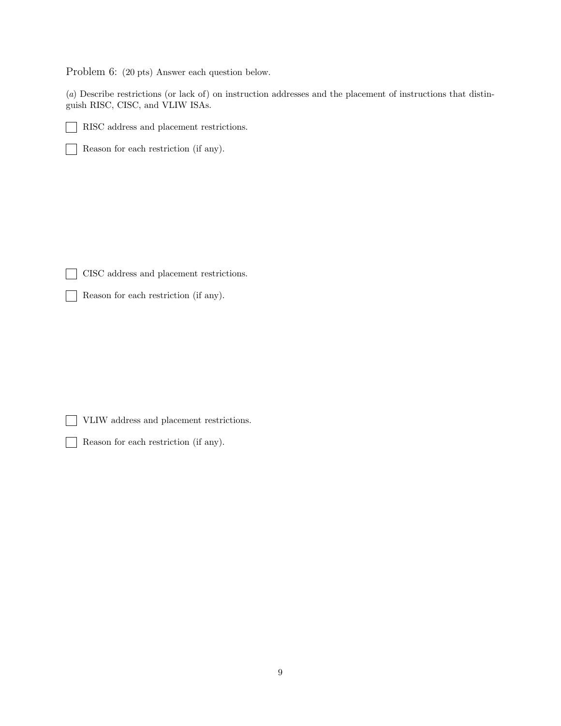Problem 6: (20 pts) Answer each question below.

(a) Describe restrictions (or lack of) on instruction addresses and the placement of instructions that distinguish RISC, CISC, and VLIW ISAs.

![](_page_8_Picture_2.jpeg)

 $\mathbb{R}^n$ 

RISC address and placement restrictions.

Reason for each restriction (if any).  $\Box$ 

CISC address and placement restrictions.  $\sim$ 

Reason for each restriction (if any).  $\mathbf{1}$ 

VLIW address and placement restrictions.

Reason for each restriction (if any).